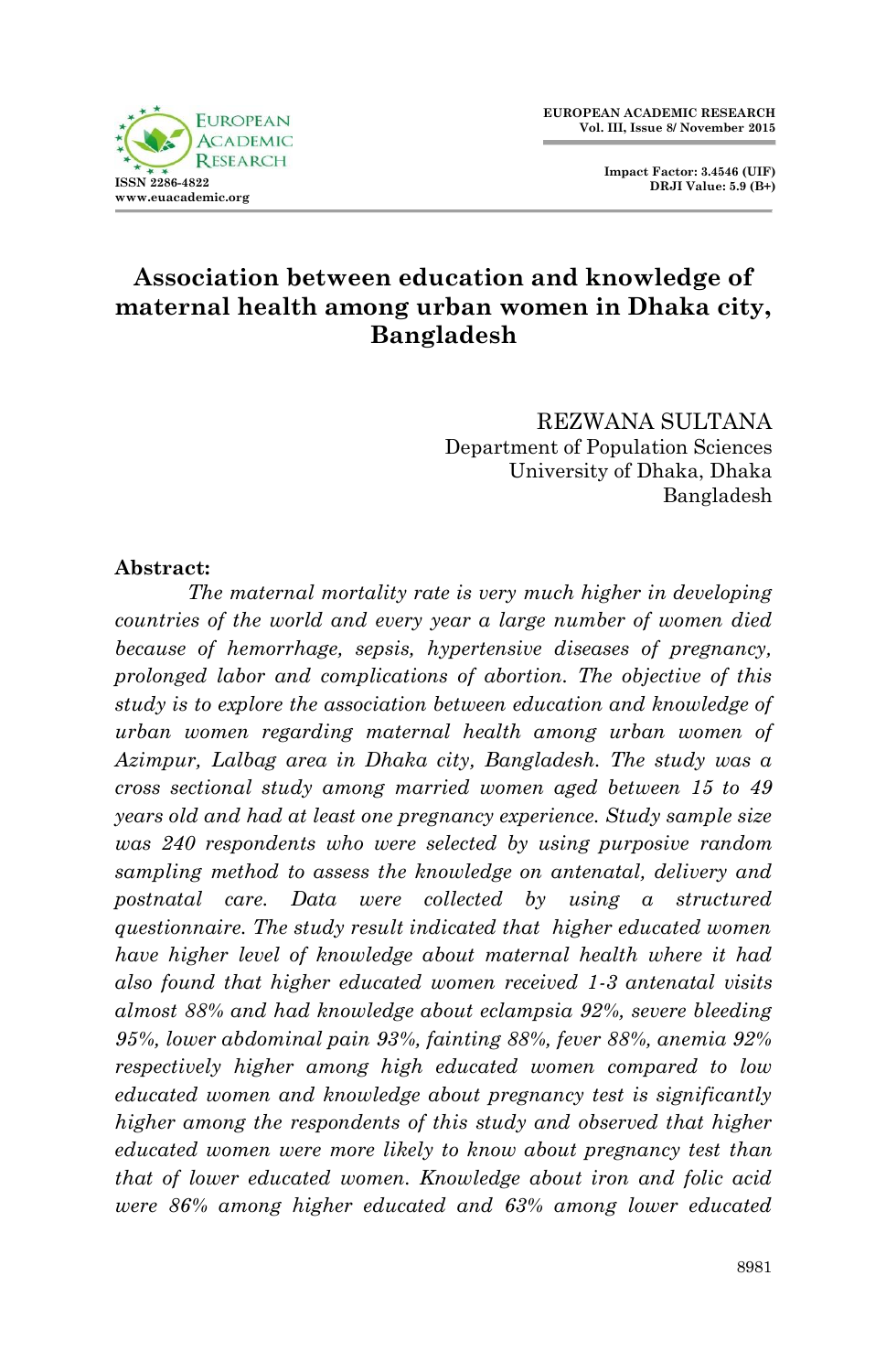**Impact Factor: 3.4546 (UIF) DRJI Value: 5.9 (B+)**



# **Association between education and knowledge of maternal health among urban women in Dhaka city, Bangladesh**

REZWANA SULTANA Department of Population Sciences University of Dhaka, Dhaka Bangladesh

#### **Abstract:**

*The maternal mortality rate is very much higher in developing countries of the world and every year a large number of women died because of hemorrhage, sepsis, hypertensive diseases of pregnancy, prolonged labor and complications of abortion. The objective of this study is to explore the association between education and knowledge of urban women regarding maternal health among urban women of Azimpur, Lalbag area in Dhaka city, Bangladesh. The study was a cross sectional study among married women aged between 15 to 49 years old and had at least one pregnancy experience. Study sample size was 240 respondents who were selected by using purposive random sampling method to assess the knowledge on antenatal, delivery and postnatal care. Data were collected by using a structured questionnaire. The study result indicated that higher educated women have higher level of knowledge about maternal health where it had also found that higher educated women received 1-3 antenatal visits almost 88% and had knowledge about eclampsia 92%, severe bleeding 95%, lower abdominal pain 93%, fainting 88%, fever 88%, anemia 92% respectively higher among high educated women compared to low educated women and knowledge about pregnancy test is significantly higher among the respondents of this study and observed that higher educated women were more likely to know about pregnancy test than that of lower educated women. Knowledge about iron and folic acid were 86% among higher educated and 63% among lower educated*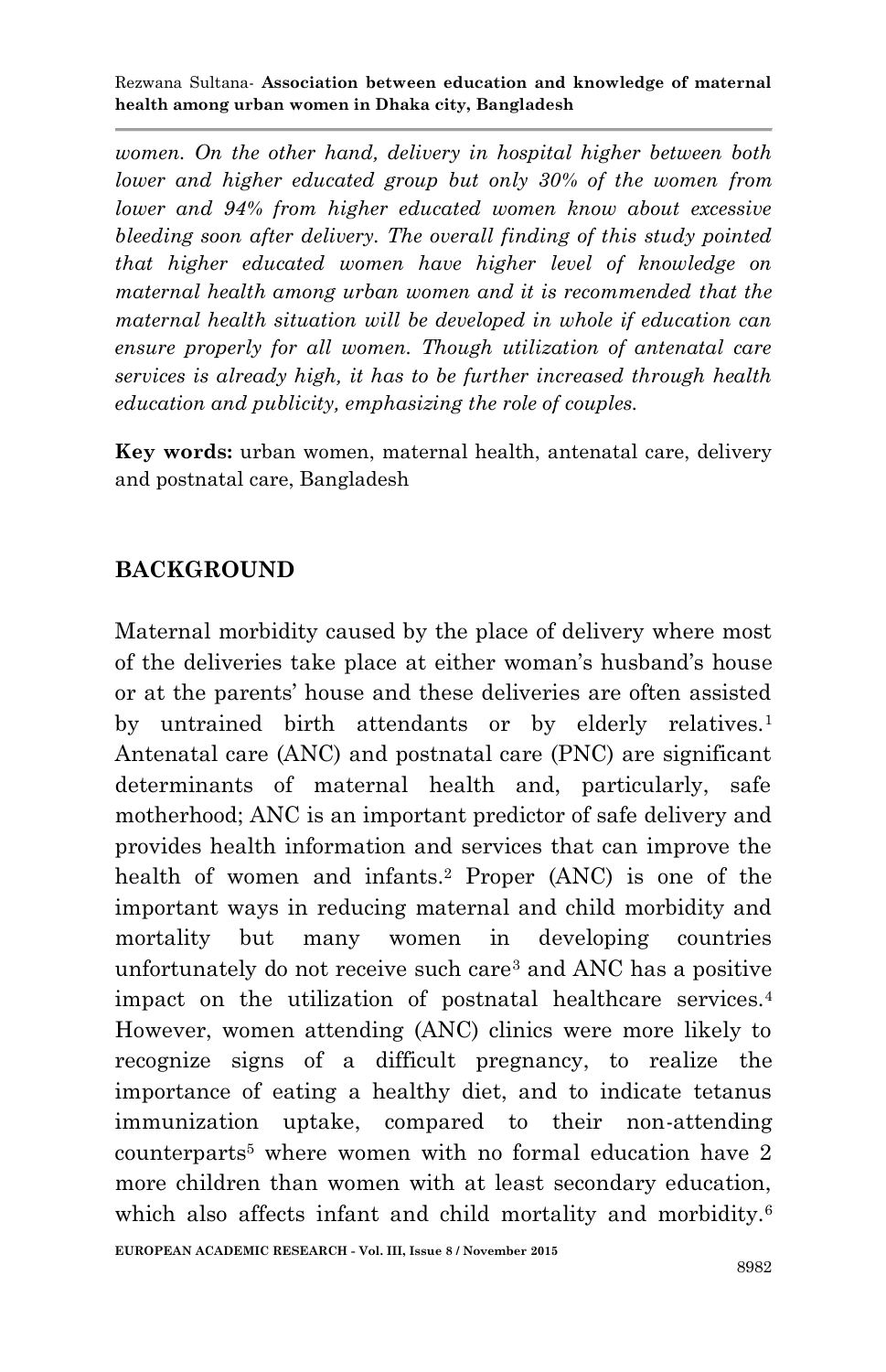*women. On the other hand, delivery in hospital higher between both lower and higher educated group but only 30% of the women from lower and 94% from higher educated women know about excessive bleeding soon after delivery. The overall finding of this study pointed that higher educated women have higher level of knowledge on maternal health among urban women and it is recommended that the maternal health situation will be developed in whole if education can ensure properly for all women. Though utilization of antenatal care services is already high, it has to be further increased through health education and publicity, emphasizing the role of couples.*

**Key words:** urban women, maternal health, antenatal care, delivery and postnatal care, Bangladesh

### **BACKGROUND**

Maternal morbidity caused by the place of delivery where most of the deliveries take place at either woman's husband's house or at the parents' house and these deliveries are often assisted by untrained birth attendants or by elderly relatives.<sup>1</sup> Antenatal care (ANC) and postnatal care (PNC) are significant determinants of maternal health and, particularly, safe motherhood; ANC is an important predictor of safe delivery and provides health information and services that can improve the health of women and infants.<sup>2</sup> Proper (ANC) is one of the important ways in reducing maternal and child morbidity and mortality but many women in developing countries unfortunately do not receive such care<sup>3</sup> and ANC has a positive impact on the utilization of postnatal healthcare services.<sup>4</sup> However, women attending (ANC) clinics were more likely to recognize signs of a difficult pregnancy, to realize the importance of eating a healthy diet, and to indicate tetanus immunization uptake, compared to their non-attending counterparts<sup>5</sup> where women with no formal education have 2 more children than women with at least secondary education, which also affects infant and child mortality and morbidity.<sup>6</sup>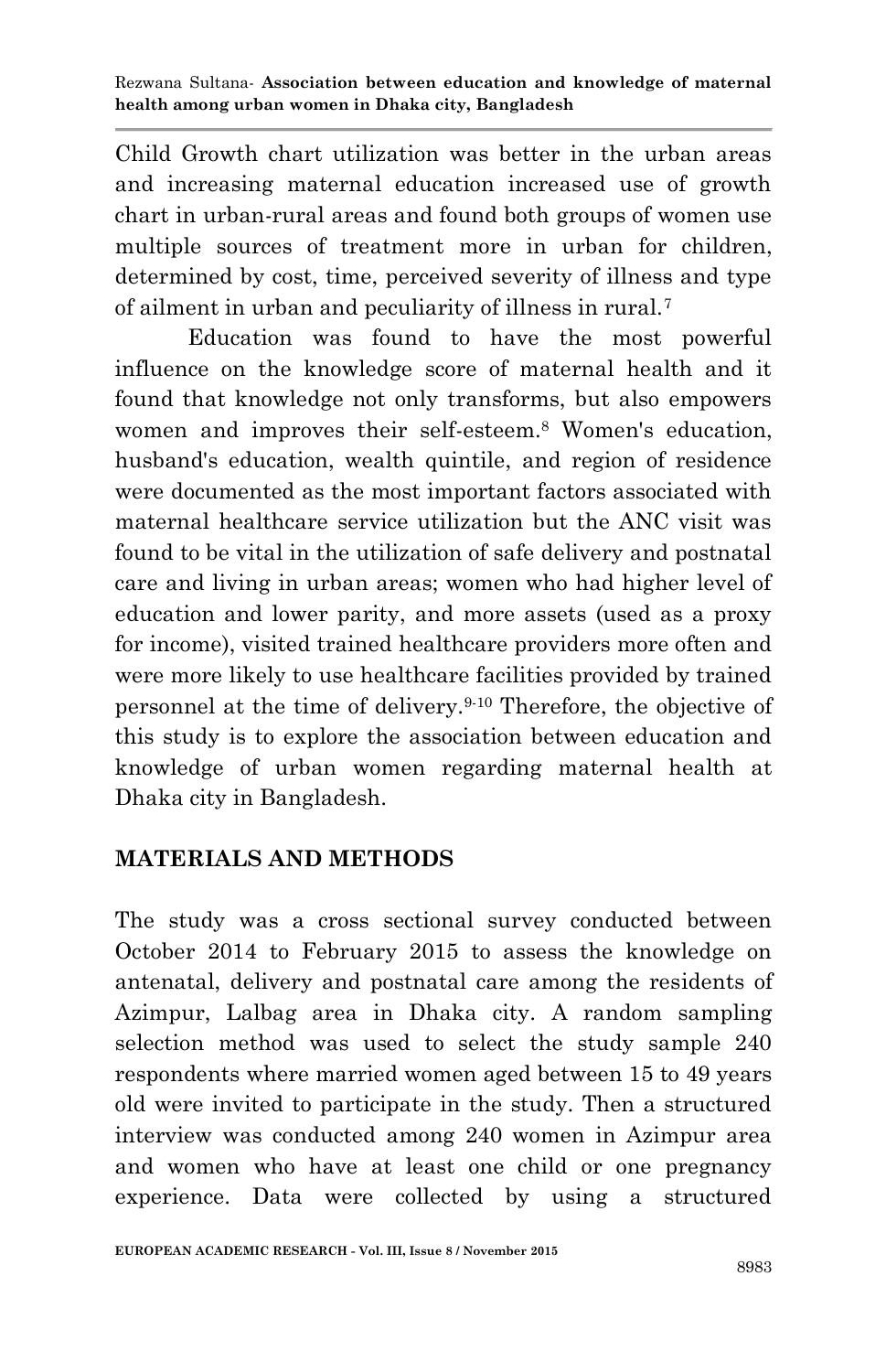Child Growth chart utilization was better in the urban areas and increasing maternal education increased use of growth chart in urban-rural areas and found both groups of women use multiple sources of treatment more in urban for children, determined by cost, time, perceived severity of illness and type of ailment in urban and peculiarity of illness in rural.<sup>7</sup>

Education was found to have the most powerful influence on the knowledge score of maternal health and it found that knowledge not only transforms, but also empowers women and improves their self-esteem.<sup>8</sup> Women's education, husband's education, wealth quintile, and region of residence were documented as the most important factors associated with maternal healthcare service utilization but the ANC visit was found to be vital in the utilization of safe delivery and postnatal care and living in urban areas; women who had higher level of education and lower parity, and more assets (used as a proxy for income), visited trained healthcare providers more often and were more likely to use healthcare facilities provided by trained personnel at the time of delivery.9-10 Therefore, the objective of this study is to explore the association between education and knowledge of urban women regarding maternal health at Dhaka city in Bangladesh.

# **MATERIALS AND METHODS**

The study was a cross sectional survey conducted between October 2014 to February 2015 to assess the knowledge on antenatal, delivery and postnatal care among the residents of Azimpur, Lalbag area in Dhaka city. A random sampling selection method was used to select the study sample 240 respondents where married women aged between 15 to 49 years old were invited to participate in the study. Then a structured interview was conducted among 240 women in Azimpur area and women who have at least one child or one pregnancy experience. Data were collected by using a structured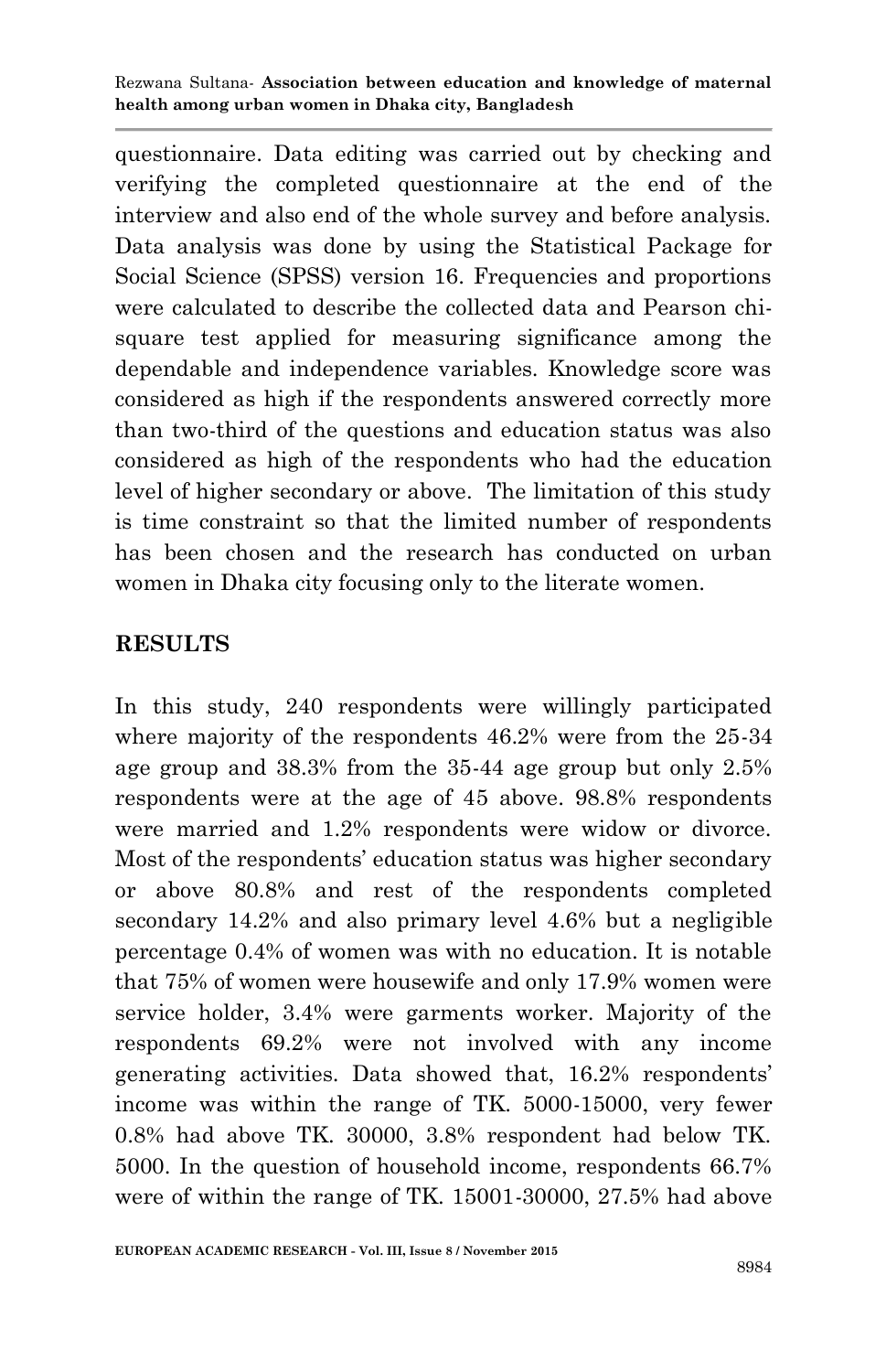questionnaire. Data editing was carried out by checking and verifying the completed questionnaire at the end of the interview and also end of the whole survey and before analysis. Data analysis was done by using the Statistical Package for Social Science (SPSS) version 16. Frequencies and proportions were calculated to describe the collected data and Pearson chisquare test applied for measuring significance among the dependable and independence variables. Knowledge score was considered as high if the respondents answered correctly more than two-third of the questions and education status was also considered as high of the respondents who had the education level of higher secondary or above. The limitation of this study is time constraint so that the limited number of respondents has been chosen and the research has conducted on urban women in Dhaka city focusing only to the literate women.

### **RESULTS**

In this study, 240 respondents were willingly participated where majority of the respondents 46.2% were from the 25-34 age group and 38.3% from the 35-44 age group but only 2.5% respondents were at the age of 45 above. 98.8% respondents were married and 1.2% respondents were widow or divorce. Most of the respondents' education status was higher secondary or above 80.8% and rest of the respondents completed secondary 14.2% and also primary level 4.6% but a negligible percentage 0.4% of women was with no education. It is notable that 75% of women were housewife and only 17.9% women were service holder, 3.4% were garments worker. Majority of the respondents 69.2% were not involved with any income generating activities. Data showed that, 16.2% respondents' income was within the range of TK. 5000-15000, very fewer 0.8% had above TK. 30000, 3.8% respondent had below TK. 5000. In the question of household income, respondents 66.7% were of within the range of TK. 15001-30000, 27.5% had above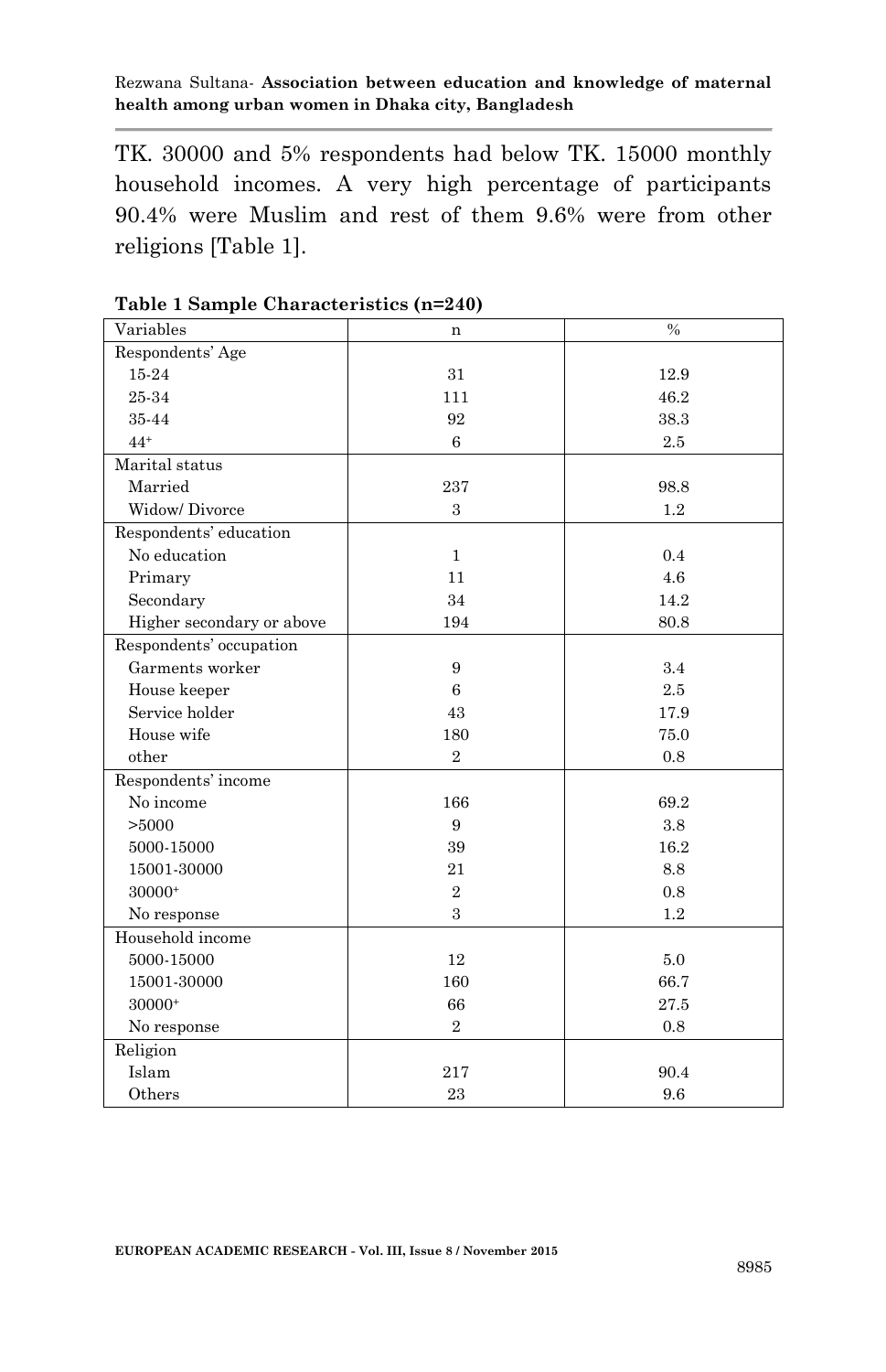TK. 30000 and 5% respondents had below TK. 15000 monthly household incomes. A very high percentage of participants 90.4% were Muslim and rest of them 9.6% were from other religions [Table 1].

| Variables                 | $\mathbf n$    | $\%$    |
|---------------------------|----------------|---------|
| Respondents' Age          |                |         |
| 15-24                     | 31             | 12.9    |
| 25-34                     | 111            | 46.2    |
| 35-44                     | 92             | 38.3    |
| $44+$                     | 6              | 2.5     |
| Marital status            |                |         |
| Married                   | 237            | 98.8    |
| Widow/Divorce             | 3              | $1.2\,$ |
| Respondents' education    |                |         |
| No education              | $\mathbf{1}$   | 0.4     |
| Primary                   | 11             | 4.6     |
| Secondary                 | 34             | 14.2    |
| Higher secondary or above | 194            | 80.8    |
| Respondents' occupation   |                |         |
| Garments worker           | 9              | 3.4     |
| House keeper              | 6              | 2.5     |
| Service holder            | 43             | 17.9    |
| House wife                | 180            | 75.0    |
| other                     | $\overline{2}$ | 0.8     |
| Respondents' income       |                |         |
| No income                 | 166            | 69.2    |
| >5000                     | 9              | 3.8     |
| 5000-15000                | 39             | 16.2    |
| 15001-30000               | 21             | 8.8     |
| 30000+                    | $\overline{2}$ | 0.8     |
| No response               | 3              | 1.2     |
| Household income          |                |         |
| 5000-15000                | 12             | 5.0     |
| 15001-30000               | 160            | 66.7    |
| 30000+                    | 66             | 27.5    |
| No response               | $\overline{2}$ | 0.8     |
| Religion                  |                |         |
| Islam                     | 217            | 90.4    |
| Others                    | 23             | 9.6     |

**Table 1 Sample Characteristics (n=240)**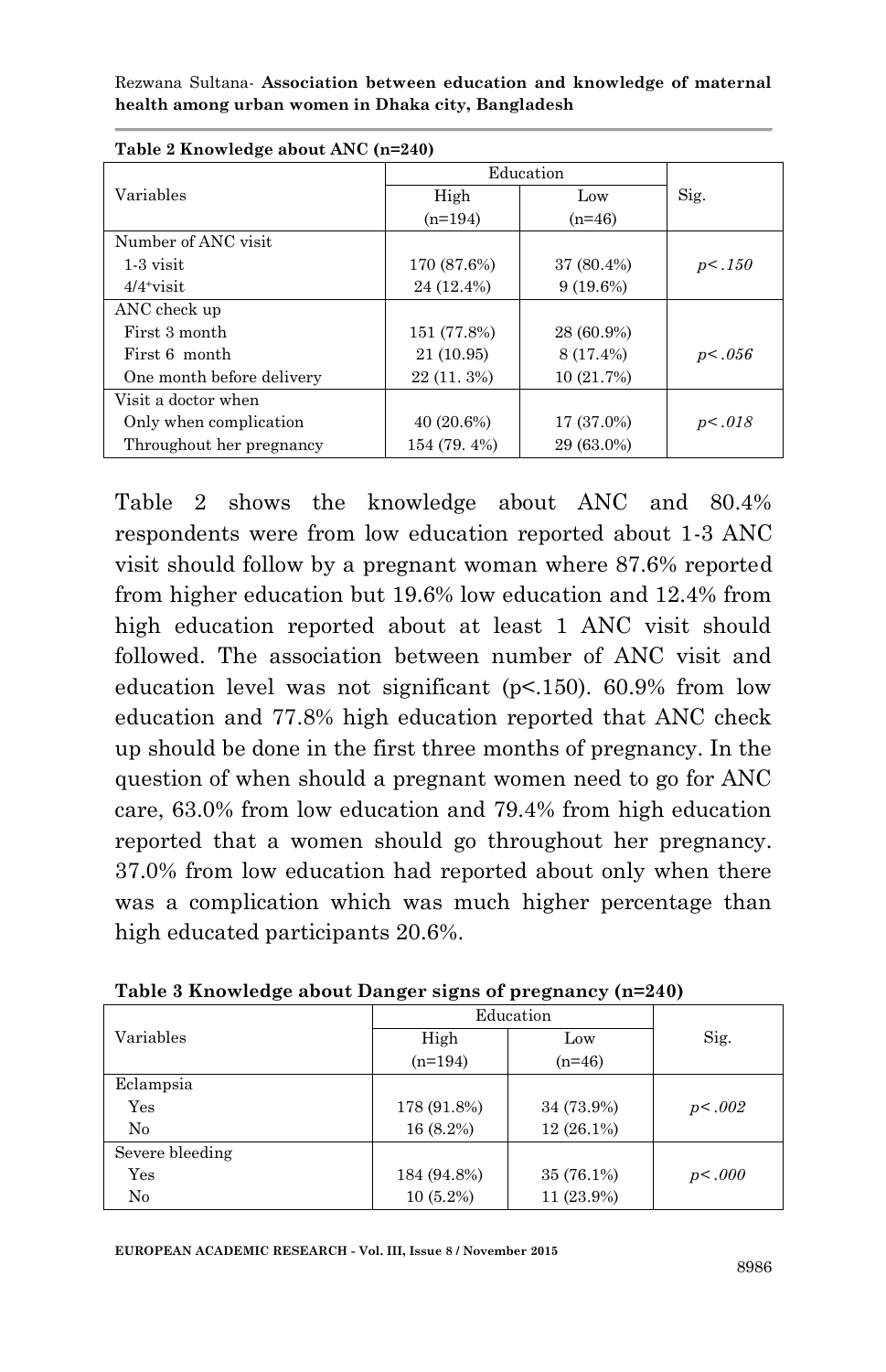| $\frac{1}{2}$ = $\frac{1}{2}$ = $\frac{1}{2}$ = $\frac{1}{2}$ = $\frac{1}{2}$ = $\frac{1}{2}$ = $\frac{1}{2}$ = $\frac{1}{2}$ = $\frac{1}{2}$ = $\frac{1}{2}$ = $\frac{1}{2}$ = $\frac{1}{2}$ = $\frac{1}{2}$ = $\frac{1}{2}$ = $\frac{1}{2}$ = $\frac{1}{2}$ = $\frac{1}{2}$ = $\frac{1}{2}$ = $\frac{1$ |               |             |        |  |  |
|-----------------------------------------------------------------------------------------------------------------------------------------------------------------------------------------------------------------------------------------------------------------------------------------------------------|---------------|-------------|--------|--|--|
|                                                                                                                                                                                                                                                                                                           |               | Education   |        |  |  |
| Variables                                                                                                                                                                                                                                                                                                 | High          | Low         | Sig.   |  |  |
|                                                                                                                                                                                                                                                                                                           | $(n=194)$     | $(n=46)$    |        |  |  |
| Number of ANC visit                                                                                                                                                                                                                                                                                       |               |             |        |  |  |
| $1-3$ visit                                                                                                                                                                                                                                                                                               | 170 (87.6%)   | 37 (80.4%)  | p<.150 |  |  |
| $4/4$ visit                                                                                                                                                                                                                                                                                               | 24 (12.4%)    | $9(19.6\%)$ |        |  |  |
| ANC check up                                                                                                                                                                                                                                                                                              |               |             |        |  |  |
| First 3 month                                                                                                                                                                                                                                                                                             | 151 (77.8%)   | 28 (60.9%)  |        |  |  |
| First 6 month                                                                                                                                                                                                                                                                                             | 21 (10.95)    | 8 (17.4%)   | p<.056 |  |  |
| One month before delivery                                                                                                                                                                                                                                                                                 | $22(11, 3\%)$ | 10 (21.7%)  |        |  |  |
| Visit a doctor when                                                                                                                                                                                                                                                                                       |               |             |        |  |  |
| Only when complication                                                                                                                                                                                                                                                                                    | $40(20.6\%)$  | 17 (37.0%)  | p<.018 |  |  |
| Throughout her pregnancy                                                                                                                                                                                                                                                                                  | 154 (79.4%)   | 29 (63.0%)  |        |  |  |

| Table 2 Knowledge about ANC (n=240) |  |
|-------------------------------------|--|
|-------------------------------------|--|

Table 2 shows the knowledge about ANC and 80.4% respondents were from low education reported about 1-3 ANC visit should follow by a pregnant woman where 87.6% reported from higher education but 19.6% low education and 12.4% from high education reported about at least 1 ANC visit should followed. The association between number of ANC visit and education level was not significant (p<.150). 60.9% from low education and 77.8% high education reported that ANC check up should be done in the first three months of pregnancy. In the question of when should a pregnant women need to go for ANC care, 63.0% from low education and 79.4% from high education reported that a women should go throughout her pregnancy. 37.0% from low education had reported about only when there was a complication which was much higher percentage than high educated participants 20.6%.

|                 | Education   |              |        |
|-----------------|-------------|--------------|--------|
| Variables       | High        | Low          | Sig.   |
|                 | $(n=194)$   | $(n=46)$     |        |
| Eclampsia       |             |              |        |
| Yes             | 178 (91.8%) | 34 (73.9%)   | p<.002 |
| No              | 16 (8.2%)   | $12(26.1\%)$ |        |
| Severe bleeding |             |              |        |
| Yes             | 184 (94.8%) | 35 (76.1%)   | p<.000 |
| No              | $10(5.2\%)$ | 11 (23.9%)   |        |

**Table 3 Knowledge about Danger signs of pregnancy (n=240)**

**EUROPEAN ACADEMIC RESEARCH - Vol. III, Issue 8 / November 2015**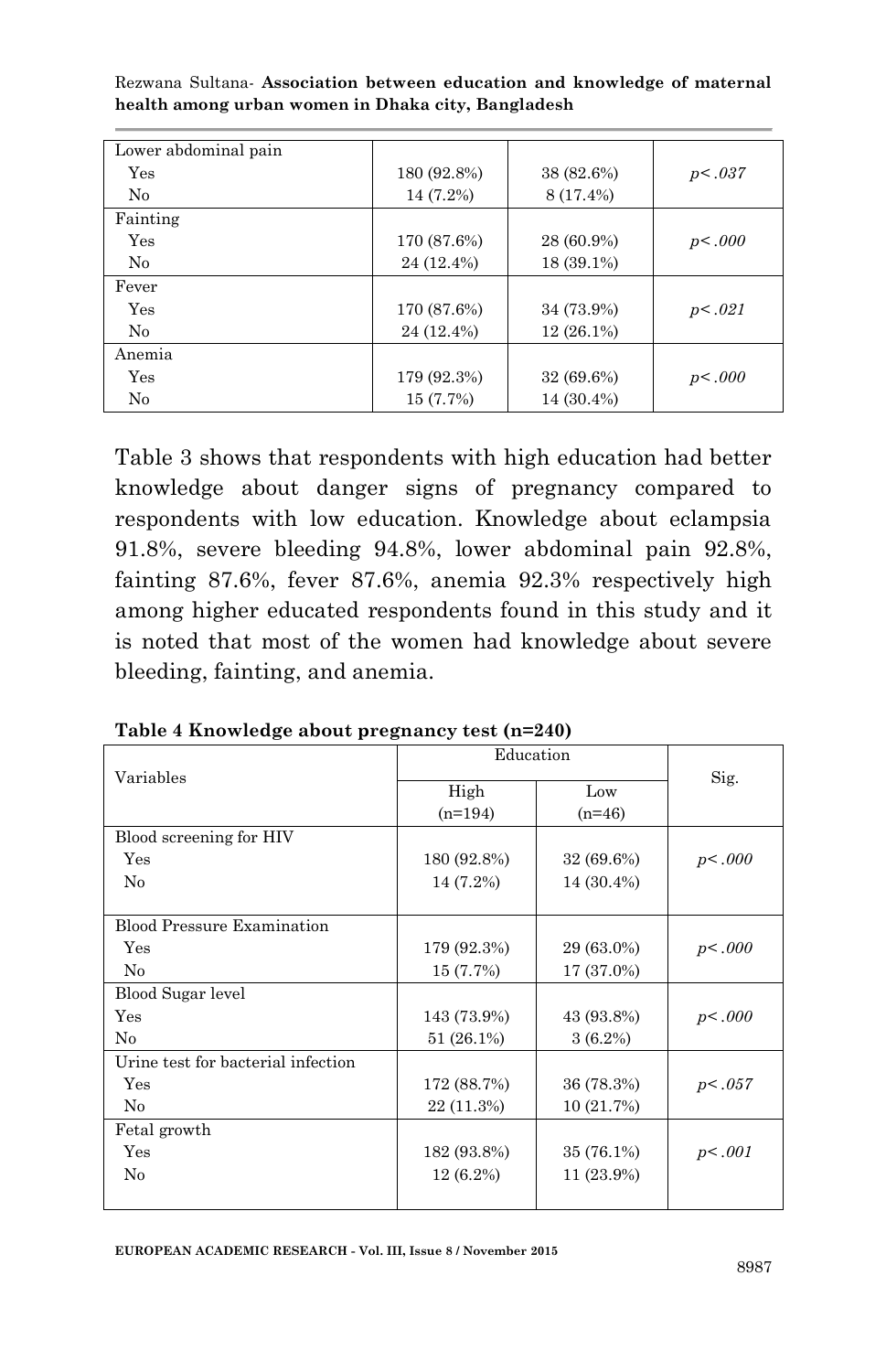| Lower abdominal pain |             |              |         |
|----------------------|-------------|--------------|---------|
| Yes                  | 180 (92.8%) | 38 (82.6%)   | p<0.037 |
| $\rm No$             | 14 (7.2%)   | 8 (17.4%)    |         |
| Fainting             |             |              |         |
| Yes                  | 170 (87.6%) | 28 (60.9%)   | p<.000  |
| No                   | 24 (12.4%)  | 18 (39.1%)   |         |
| Fever                |             |              |         |
| Yes                  | 170 (87.6%) | 34 (73.9%)   | p<.021  |
| No                   | 24 (12.4%)  | $12(26.1\%)$ |         |
| Anemia               |             |              |         |
| Yes                  | 179 (92.3%) | 32 (69.6%)   | p<.000  |
| No                   | 15 (7.7%)   | 14 (30.4%)   |         |

Table 3 shows that respondents with high education had better knowledge about danger signs of pregnancy compared to respondents with low education. Knowledge about eclampsia 91.8%, severe bleeding 94.8%, lower abdominal pain 92.8%, fainting 87.6%, fever 87.6%, anemia 92.3% respectively high among higher educated respondents found in this study and it is noted that most of the women had knowledge about severe bleeding, fainting, and anemia.

| Variables                          | Education         |                 |        |
|------------------------------------|-------------------|-----------------|--------|
|                                    | High<br>$(n=194)$ | Low<br>$(n=46)$ | Sig.   |
| Blood screening for HIV            |                   |                 |        |
| Yes                                | 180 (92.8%)       | 32 (69.6%)      | p<.000 |
| No                                 | 14 (7.2%)         | 14 (30.4%)      |        |
|                                    |                   |                 |        |
| <b>Blood Pressure Examination</b>  |                   |                 |        |
| Yes                                | 179 (92.3%)       | 29 (63.0%)      | p<.000 |
| No                                 | 15 (7.7%)         | 17 (37.0%)      |        |
| Blood Sugar level                  |                   |                 |        |
| Yes                                | 143 (73.9%)       | 43 (93.8%)      | p<.000 |
| No                                 | 51 (26.1%)        | $3(6.2\%)$      |        |
| Urine test for bacterial infection |                   |                 |        |
| Yes                                | 172 (88.7%)       | 36 (78.3%)      | p<.057 |
| No                                 | 22 (11.3%)        | 10 (21.7%)      |        |
| Fetal growth                       |                   |                 |        |
| Yes                                | 182 (93.8%)       | 35 (76.1%)      | p<.001 |
| No                                 | $12(6.2\%)$       | 11 (23.9%)      |        |
|                                    |                   |                 |        |

**Table 4 Knowledge about pregnancy test (n=240)**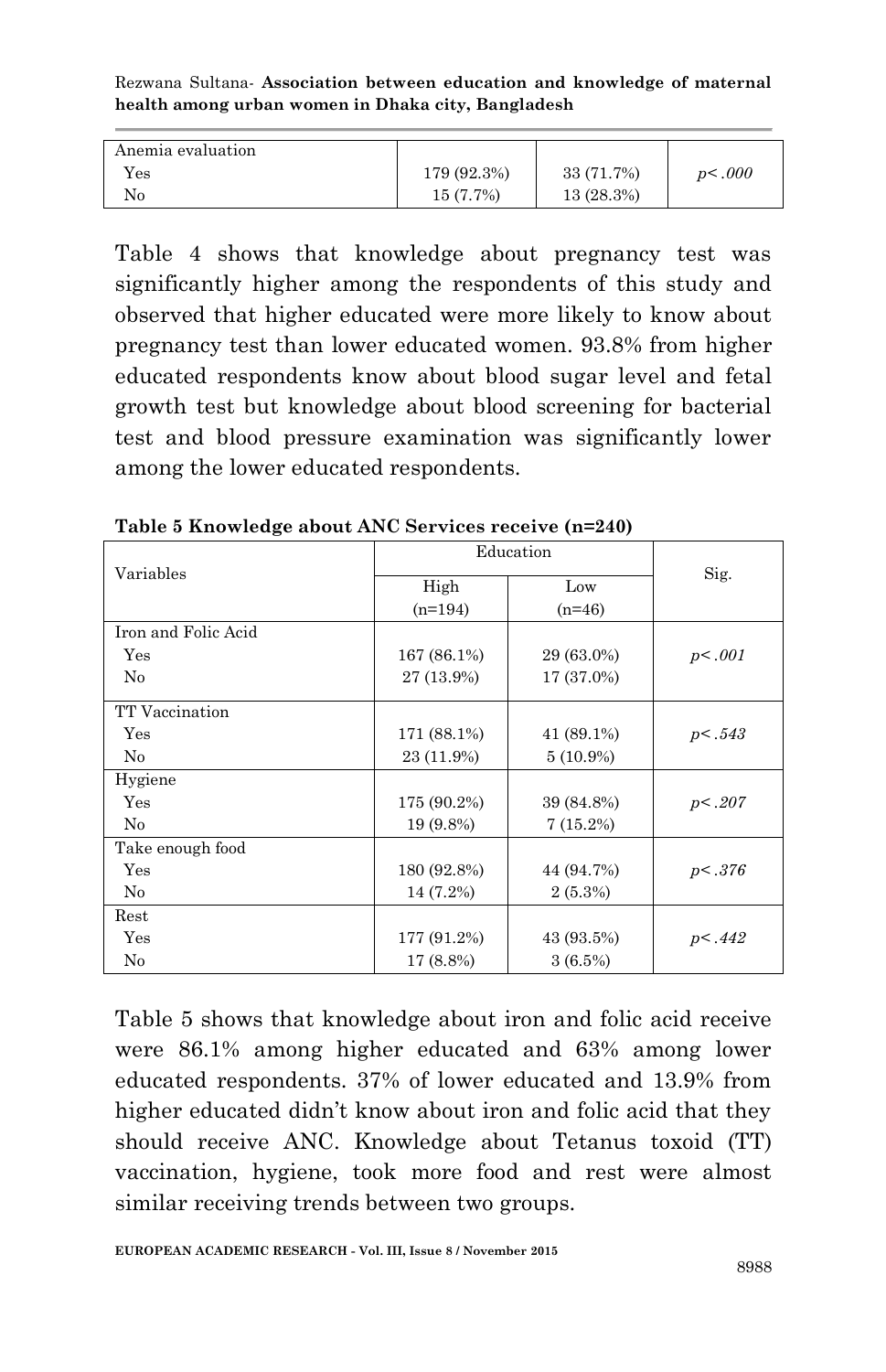| Anemia evaluation |             |            |        |
|-------------------|-------------|------------|--------|
| Yes               | 179 (92.3%) | 33 (71.7%) | p<.000 |
| No                | 15 (7.7%)   | 13(28.3%)  |        |

Table 4 shows that knowledge about pregnancy test was significantly higher among the respondents of this study and observed that higher educated were more likely to know about pregnancy test than lower educated women. 93.8% from higher educated respondents know about blood sugar level and fetal growth test but knowledge about blood screening for bacterial test and blood pressure examination was significantly lower among the lower educated respondents.

|                     | Education   |             |         |
|---------------------|-------------|-------------|---------|
| Variables           | High        | Low         | Sig.    |
|                     | $(n=194)$   | $(n=46)$    |         |
| Iron and Folic Acid |             |             |         |
| Yes                 | 167 (86.1%) | 29 (63.0%)  | p<.001  |
| $\rm No$            | 27 (13.9%)  | 17 (37.0%)  |         |
| TT Vaccination      |             |             |         |
| Yes                 | 171 (88.1%) | 41 (89.1%)  | p<.543  |
| No                  | 23 (11.9%)  | $5(10.9\%)$ |         |
| Hygiene             |             |             |         |
| Yes                 | 175 (90.2%) | 39 (84.8%)  | p<.207  |
| $\rm No$            | 19 (9.8%)   | 7(15.2%)    |         |
| Take enough food    |             |             |         |
| Yes                 | 180 (92.8%) | 44 (94.7%)  | p<0.376 |
| No                  | 14 (7.2%)   | $2(5.3\%)$  |         |
| Rest                |             |             |         |
| Yes                 | 177 (91.2%) | 43 (93.5%)  | p<.442  |
| No                  | 17 (8.8%)   | 3(6.5%)     |         |

**Table 5 Knowledge about ANC Services receive (n=240)**

Table 5 shows that knowledge about iron and folic acid receive were 86.1% among higher educated and 63% among lower educated respondents. 37% of lower educated and 13.9% from higher educated didn't know about iron and folic acid that they should receive ANC. Knowledge about Tetanus toxoid (TT) vaccination, hygiene, took more food and rest were almost similar receiving trends between two groups.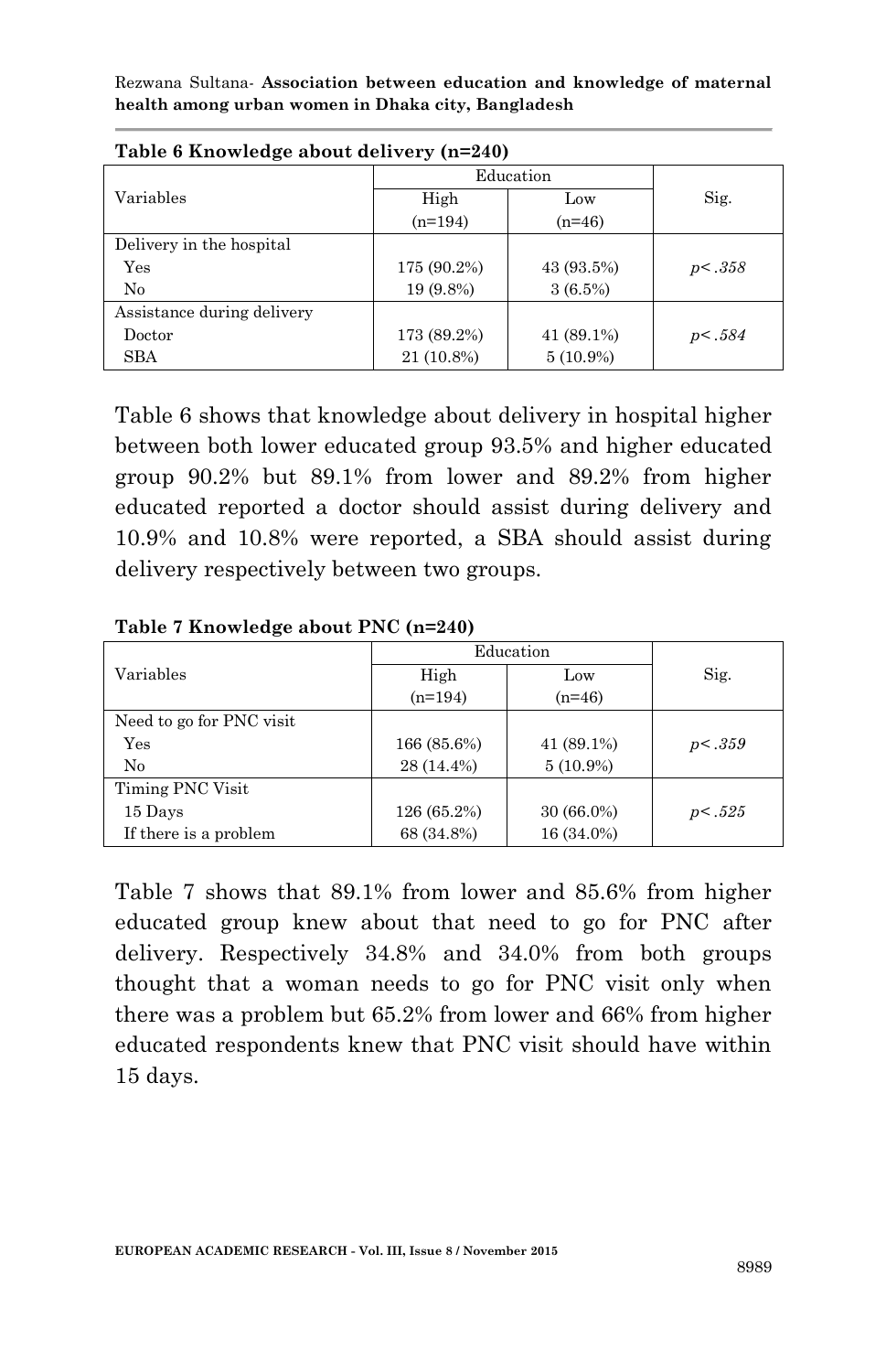|                            |             | Education   |        |  |
|----------------------------|-------------|-------------|--------|--|
| Variables                  | High        | Low         | Sig.   |  |
|                            | $(n=194)$   | $(n=46)$    |        |  |
| Delivery in the hospital   |             |             |        |  |
| Yes                        | 175 (90.2%) | 43 (93.5%)  | p<.358 |  |
| No                         | 19 (9.8%)   | $3(6.5\%)$  |        |  |
| Assistance during delivery |             |             |        |  |
| Doctor                     | 173 (89.2%) | 41 (89.1%)  | p<.584 |  |
| SBA                        | 21 (10.8%)  | $5(10.9\%)$ |        |  |

**Table 6 Knowledge about delivery (n=240)**

Table 6 shows that knowledge about delivery in hospital higher between both lower educated group 93.5% and higher educated group 90.2% but 89.1% from lower and 89.2% from higher educated reported a doctor should assist during delivery and 10.9% and 10.8% were reported, a SBA should assist during delivery respectively between two groups.

|                          | Education   |              |        |
|--------------------------|-------------|--------------|--------|
| Variables                | High        | Low          | Sig.   |
|                          | $(n=194)$   | $(n=46)$     |        |
| Need to go for PNC visit |             |              |        |
| Yes                      | 166 (85.6%) | 41 (89.1%)   | p<.359 |
| $\rm No$                 | 28 (14.4%)  | $5(10.9\%)$  |        |
| Timing PNC Visit         |             |              |        |
| 15 Days                  | 126 (65.2%) | $30(66.0\%)$ | p<.525 |
| If there is a problem    | 68 (34.8%)  | 16 (34.0%)   |        |

**Table 7 Knowledge about PNC (n=240)**

Table 7 shows that 89.1% from lower and 85.6% from higher educated group knew about that need to go for PNC after delivery. Respectively 34.8% and 34.0% from both groups thought that a woman needs to go for PNC visit only when there was a problem but 65.2% from lower and 66% from higher educated respondents knew that PNC visit should have within 15 days.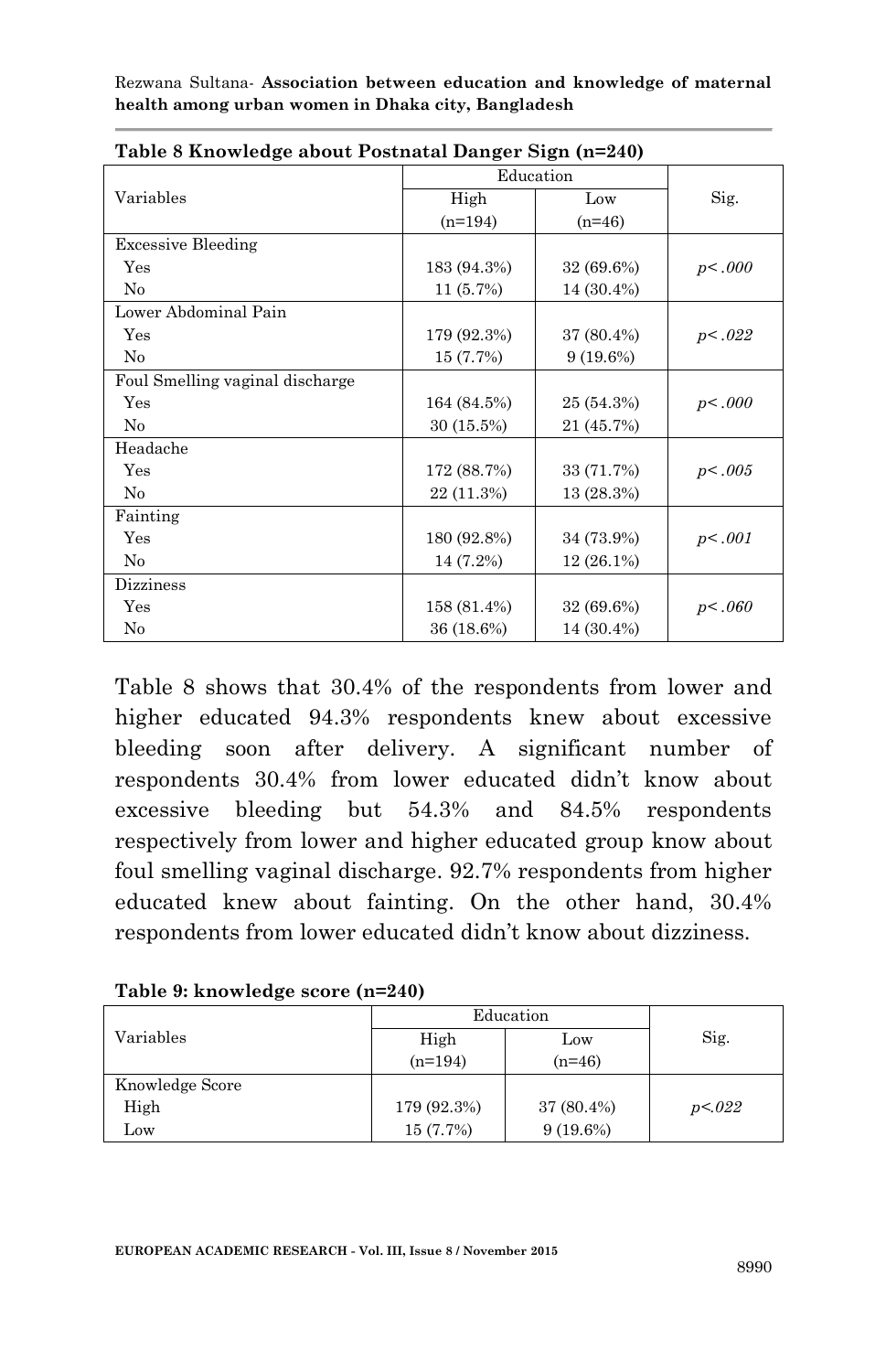| Table o Knowledge about I osthatal Danger Digit (n–240) |             |             |        |
|---------------------------------------------------------|-------------|-------------|--------|
|                                                         |             | Education   |        |
| Variables                                               | High        | Low         | Sig.   |
|                                                         | $(n=194)$   | $(n=46)$    |        |
| <b>Excessive Bleeding</b>                               |             |             |        |
| Yes                                                     | 183 (94.3%) | 32 (69.6%)  | p<.000 |
| No                                                      | 11(5.7%)    | 14 (30.4%)  |        |
| Lower Abdominal Pain                                    |             |             |        |
| Yes                                                     | 179 (92.3%) | 37 (80.4%)  | p<.022 |
| No                                                      | 15 (7.7%)   | $9(19.6\%)$ |        |
| Foul Smelling vaginal discharge                         |             |             |        |
| Yes                                                     | 164 (84.5%) | 25 (54.3%)  | p<.000 |
| No                                                      | 30 (15.5%)  | 21 (45.7%)  |        |
| Headache                                                |             |             |        |
| Yes                                                     | 172 (88.7%) | 33 (71.7%)  | p<.005 |
| No                                                      | 22 (11.3%)  | 13 (28.3%)  |        |
| Fainting                                                |             |             |        |
| Yes                                                     | 180 (92.8%) | 34 (73.9%)  | p<.001 |
| No                                                      | 14 (7.2%)   | 12 (26.1%)  |        |
| <b>Dizziness</b>                                        |             |             |        |
| Yes                                                     | 158 (81.4%) | 32 (69.6%)  | p<.060 |
| No                                                      | 36 (18.6%)  | 14 (30.4%)  |        |

|  | Table 8 Knowledge about Postnatal Danger Sign (n=240) |  |  |
|--|-------------------------------------------------------|--|--|
|  |                                                       |  |  |

Table 8 shows that 30.4% of the respondents from lower and higher educated 94.3% respondents knew about excessive bleeding soon after delivery. A significant number of respondents 30.4% from lower educated didn't know about excessive bleeding but 54.3% and 84.5% respondents respectively from lower and higher educated group know about foul smelling vaginal discharge. 92.7% respondents from higher educated knew about fainting. On the other hand, 30.4% respondents from lower educated didn't know about dizziness.

|  |  | Table 9: knowledge score (n=240) |  |  |
|--|--|----------------------------------|--|--|
|--|--|----------------------------------|--|--|

|                 | Education   |             |        |
|-----------------|-------------|-------------|--------|
| Variables       | High        | Low         | Sig.   |
|                 | $(n=194)$   | $(n=46)$    |        |
| Knowledge Score |             |             |        |
| High            | 179 (92.3%) | 37 (80.4%)  | p<.022 |
| Low             | 15(7.7%)    | $9(19.6\%)$ |        |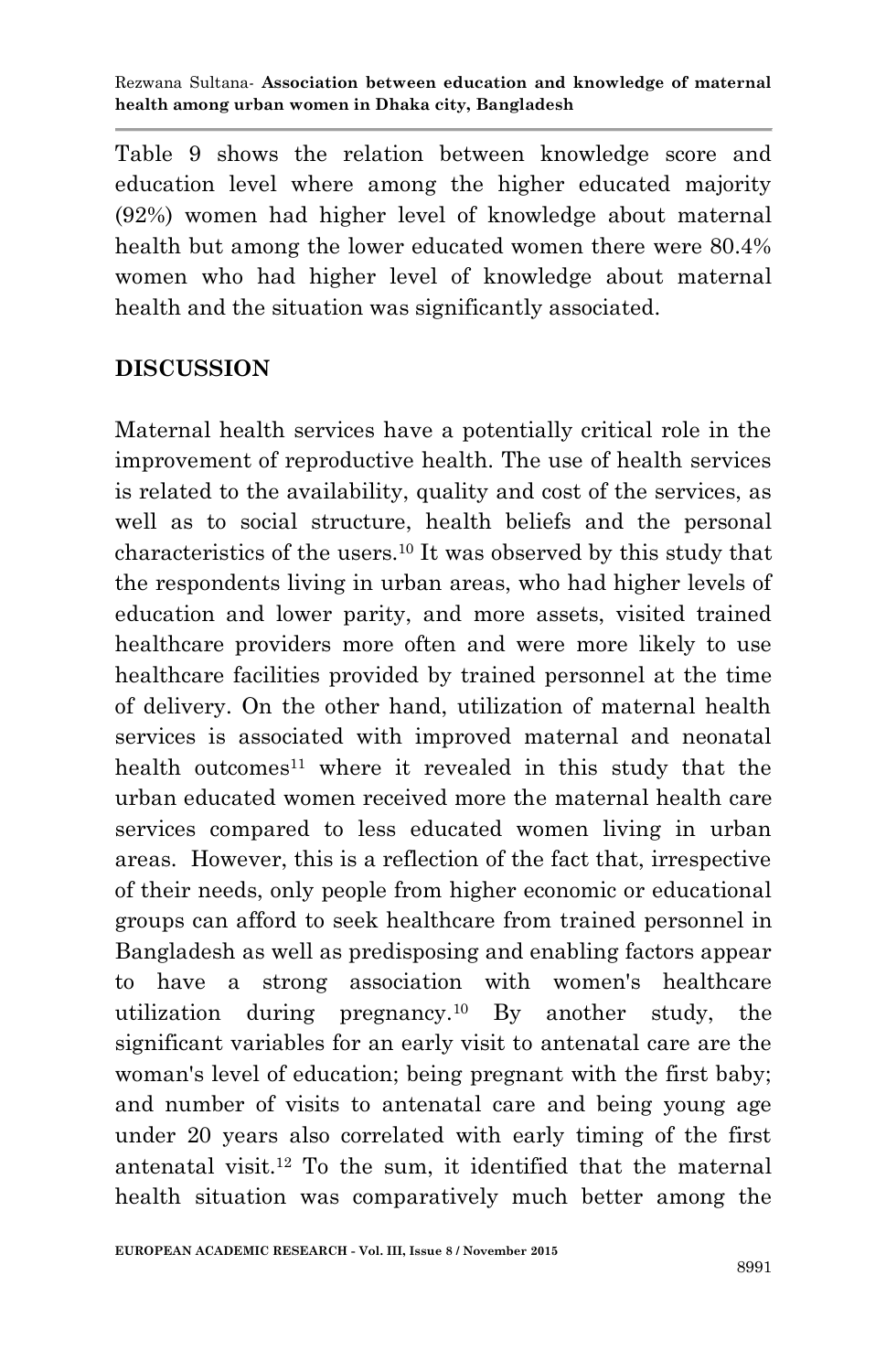Table 9 shows the relation between knowledge score and education level where among the higher educated majority (92%) women had higher level of knowledge about maternal health but among the lower educated women there were 80.4% women who had higher level of knowledge about maternal health and the situation was significantly associated.

# **DISCUSSION**

Maternal health services have a potentially critical role in the improvement of reproductive health. The use of health services is related to the availability, quality and cost of the services, as well as to social structure, health beliefs and the personal characteristics of the users.<sup>10</sup> It was observed by this study that the respondents living in urban areas, who had higher levels of education and lower parity, and more assets, visited trained healthcare providers more often and were more likely to use healthcare facilities provided by trained personnel at the time of delivery. On the other hand, utilization of maternal health services is associated with improved maternal and neonatal health outcomes<sup>11</sup> where it revealed in this study that the urban educated women received more the maternal health care services compared to less educated women living in urban areas. However, this is a reflection of the fact that, irrespective of their needs, only people from higher economic or educational groups can afford to seek healthcare from trained personnel in Bangladesh as well as predisposing and enabling factors appear to have a strong association with women's healthcare utilization during pregnancy.<sup>10</sup> By another study, the significant variables for an early visit to antenatal care are the woman's level of education; being pregnant with the first baby; and number of visits to antenatal care and being young age under 20 years also correlated with early timing of the first antenatal visit.<sup>12</sup> To the sum, it identified that the maternal health situation was comparatively much better among the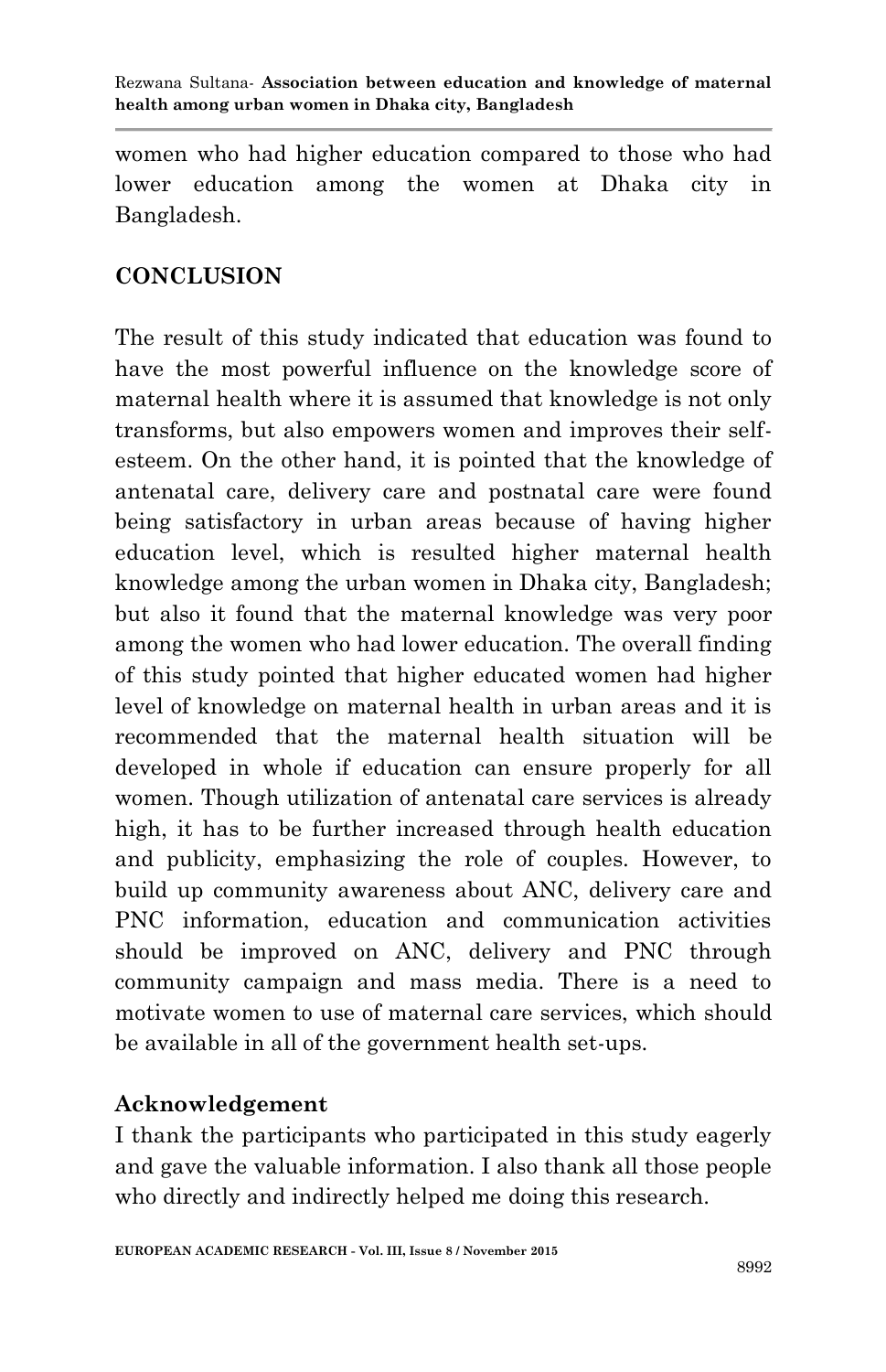women who had higher education compared to those who had lower education among the women at Dhaka city in Bangladesh.

# **CONCLUSION**

The result of this study indicated that education was found to have the most powerful influence on the knowledge score of maternal health where it is assumed that knowledge is not only transforms, but also empowers women and improves their selfesteem. On the other hand, it is pointed that the knowledge of antenatal care, delivery care and postnatal care were found being satisfactory in urban areas because of having higher education level, which is resulted higher maternal health knowledge among the urban women in Dhaka city, Bangladesh; but also it found that the maternal knowledge was very poor among the women who had lower education. The overall finding of this study pointed that higher educated women had higher level of knowledge on maternal health in urban areas and it is recommended that the maternal health situation will be developed in whole if education can ensure properly for all women. Though utilization of antenatal care services is already high, it has to be further increased through health education and publicity, emphasizing the role of couples. However, to build up community awareness about ANC, delivery care and PNC information, education and communication activities should be improved on ANC, delivery and PNC through community campaign and mass media. There is a need to motivate women to use of maternal care services, which should be available in all of the government health set-ups.

# **Acknowledgement**

I thank the participants who participated in this study eagerly and gave the valuable information. I also thank all those people who directly and indirectly helped me doing this research.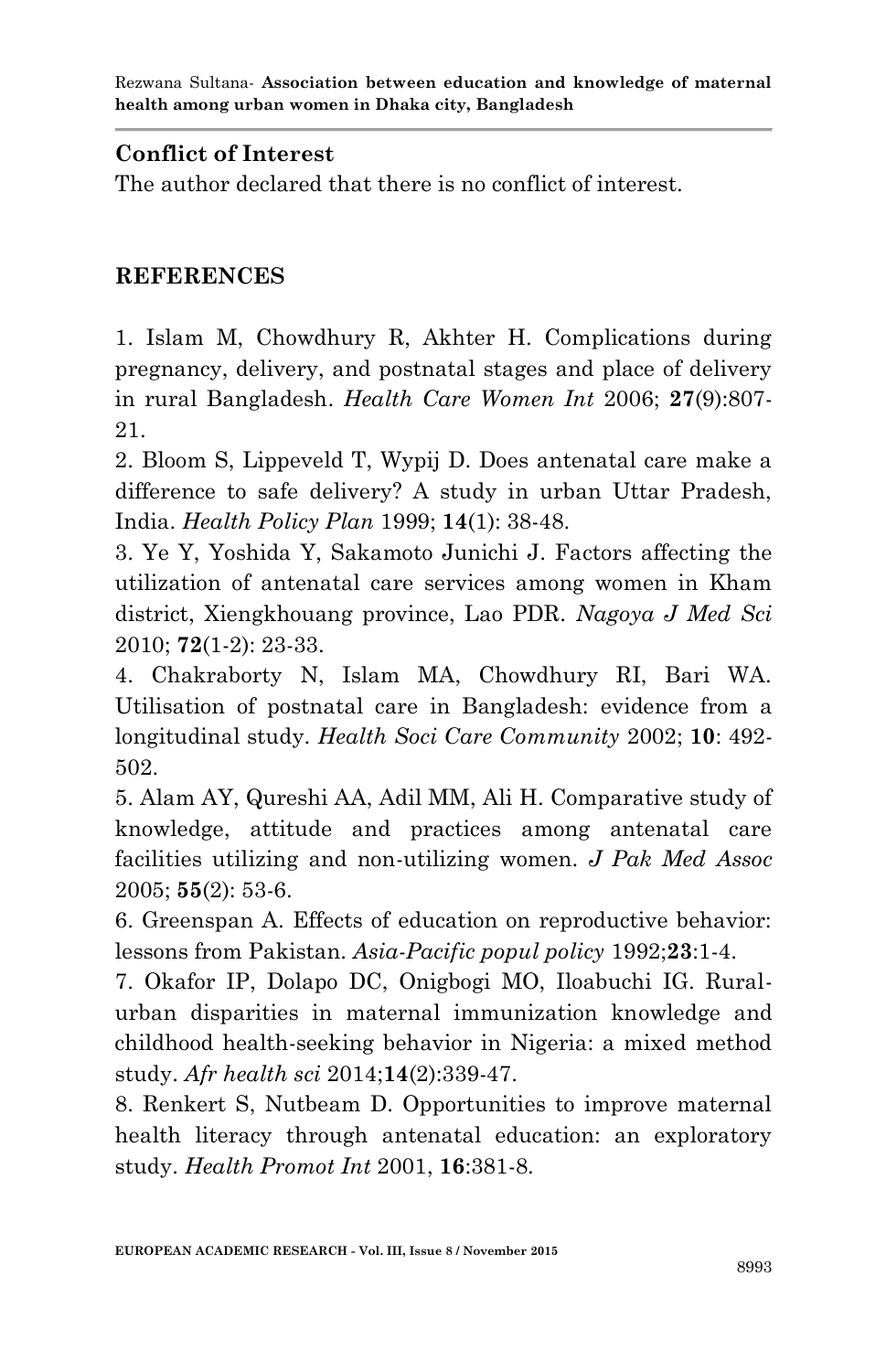### **Conflict of Interest**

The author declared that there is no conflict of interest.

## **REFERENCES**

1. Islam M, Chowdhury R, Akhter H. Complications during pregnancy, delivery, and postnatal stages and place of delivery in rural Bangladesh. *Health Care Women Int* 2006; **27**(9):807- 21.

2. Bloom S, Lippeveld T, Wypij D. Does antenatal care make a difference to safe delivery? A study in urban Uttar Pradesh, India. *Health Policy Plan* 1999; **14**(1): 38-48.

3. Ye Y, Yoshida Y, Sakamoto Junichi J. Factors affecting the utilization of antenatal care services among women in Kham district, Xiengkhouang province, Lao PDR. *Nagoya J Med Sci* 2010; **72**(1-2): 23-33.

4. Chakraborty N, Islam MA, Chowdhury RI, Bari WA. Utilisation of postnatal care in Bangladesh: evidence from a longitudinal study. *Health Soci Care Community* 2002; **10**: 492- 502.

5. Alam AY, Qureshi AA, Adil MM, Ali H. Comparative study of knowledge, attitude and practices among antenatal care facilities utilizing and non-utilizing women. *J Pak Med Assoc* 2005; **55**(2): 53-6.

6. Greenspan A. Effects of education on reproductive behavior: lessons from Pakistan. *Asia-Pacific popul policy* 1992;**23**:1-4.

7. Okafor IP, Dolapo DC, Onigbogi MO, Iloabuchi IG. Ruralurban disparities in maternal immunization knowledge and childhood health-seeking behavior in Nigeria: a mixed method study. *Afr health sci* 2014;**14**(2):339-47.

8. Renkert S, Nutbeam D. Opportunities to improve maternal health literacy through antenatal education: an exploratory study. *Health Promot Int* 2001, **16**:381-8.